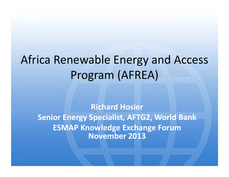# Africa Renewable Energy and Access Program (AFREA)

**Richard Hosier Senior Energy Specialist, AFTG2, World Bank ESMAP Knowledge Exchange Forum November 2013**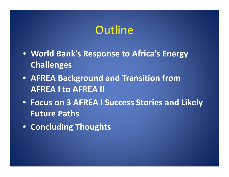## Outline

- **World Bank's Response to Africa's Energy Challenges**
- **AFREA Background and Transition from AFREA I to AFREA II**
- **Focus on 3 AFREA I Success Stories and Likely Future Paths**
- **Concluding Thoughts**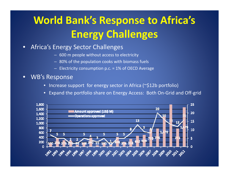# **World Bank's Response to Africa's Energy Challenges**

### •**• Africa's Energy Sector Challenges**

- 600 m people without access to electricity
- 80% of the population cooks with biomass fuels
- Electricity consumption p.c. <sup>=</sup> 1% of OECD Average
- • WB's Response
	- Increase support for energy sector in Africa (~\$12b portfolio)
	- Expand the portfolio share on Energy Access: Both On‐Grid and Off‐grid

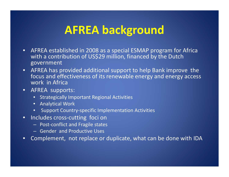## **AFREA background**

- AFREA established in 2008 as <sup>a</sup> special ESMAP program for Africa with <sup>a</sup> contribution of US\$29 million, financed by the Dutch government
- AFREA has provided additional support to help Bank improve the focus and effectiveness of its renewable energy and energy access work in Africa
- $\bullet$  AFREA supports:
	- Strategically Important Regional Activities
	- Analytical Work
	- Support Country‐specific Implementation Activities
- •● Includes cross-cutting foci on
	- Post‐conflict and Fragile states
	- Gender and Productive Uses
- $\bullet$ Complement, not replace or duplicate, what can be done with IDA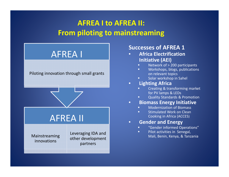## **AFREA I to AFREA II: From piloting to mainstreaming**



## **Successes of AFREA 1**

- • **Africa ElectrificationInitiative (AEI)**
	- П **Network of > 200 participants**
	- □ Workshops, blogs, publications on relevant topics
	- П Solar workshop in Sahel

#### •**Lighting Africa**

•

- П Creating & transforming market for PV lamps & LEDs
- ш Quality Standards & Promotion
- **Biomass Energy Initiative**
	- ш **EXECUTE:** Modernization of Biomass
	- П **EXEC** Stimulated Work on Clean Cooking in Africa (ACCES)
- • **Gender and Energy**
	- П "Gender informed Operations"
	- $\blacksquare$ **Pilot activities in Senegal,** Mali, Benin, Kenya, & Tanzania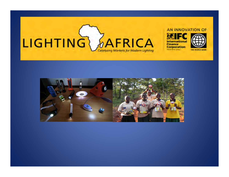

### AN INNOVATION OF





Times, specificate 23 St.A.

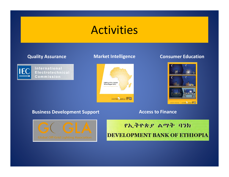## Activities



International Electrotechnical Commission



### **Quality Assurance Market Intelligence Consumer Education**



### **Business Development Support Access to Finance**



የኢትዮጵያ ልማት ባንክ **DEVELOPMENT BANK OF ETHIOPIA**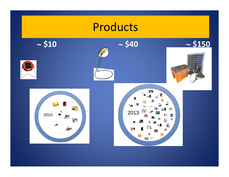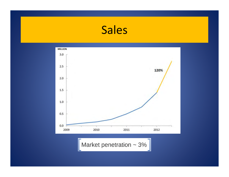## Sales



Market penetration  $\sim$  3%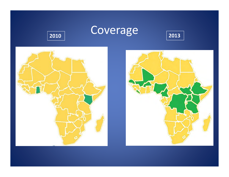





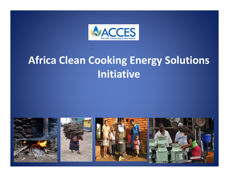

## **Africa Clean Cooking Energy Solutions Initiative**

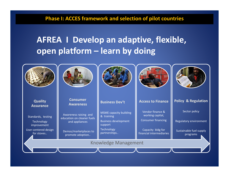## **Phase I: ACCES framework and selection of pilot countries**

## **AFREA I Develop an adaptive, flexible, open platform – learn by doing**

| <b>Quality</b><br><b>Assurance</b>                                             | <b>Consumer</b><br><b>Awareness</b>                                   | <b>Business Dev't</b>                                                                               | <b>Access to Finance</b>                                                               | <b>Policy &amp; Regulation</b>          |
|--------------------------------------------------------------------------------|-----------------------------------------------------------------------|-----------------------------------------------------------------------------------------------------|----------------------------------------------------------------------------------------|-----------------------------------------|
| Standards, testing<br><b>Technology</b><br>improvement<br>User-centered design | Awareness raising and<br>education on cleaner fuels<br>and appliances | <b>MSME</b> capacity building<br>& training<br><b>Business development</b><br>support<br>Technology | Vendor finance &<br>working capital,<br><b>Consumer financing</b><br>Capacity bldg for | Sector policy<br>Regulatory environment |
| for stoves                                                                     | Demos/marketplaces to<br>promote adoption                             | partnerships                                                                                        | financial intermediaries                                                               | Sustainable fuel supply<br>programs     |
|                                                                                |                                                                       | <b>Knowledge Management</b>                                                                         |                                                                                        |                                         |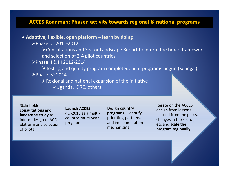### **ACCES Roadmap: Phased activity towards regional & national programs**

### **Adaptive, flexible, open platform – learn by doing**

Phase I: 2011‐2012

Consultations and Sector Landscape Report to inform the broad framework and selection of 2‐4 pilot countries

Phase II & III 2012‐2014

Testing and quality program completed; pilot programs begun (Senegal) Phase IV: 2014 –

Regional and national expansion of the initiative

Uganda, DRC, others

Stakeholder**consultations** and**landscape study** to inform design of ACCI platform and selection of pilots

**Launch ACCES** in4Q‐2013 as <sup>a</sup> multi‐ country, multi‐year program

Design **country programs** – identify priorities, partners, and implementation mechanisms

Iterate on the ACCES design from lessons learned from the pilots, changes in the sector, etc and **scale the program regionally**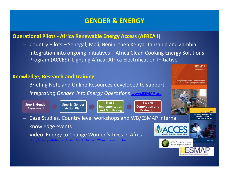## **GENDER & ENERGY**

## **Operational Pilots ‐ Africa Renewable Energy Access (AFREA I)**

- Country Pilots Senegal, Mali, Benin; then Kenya, Tanzania and Zambia
- Integration into ongoing initiatives Africa Clean Cooking Energy Solutions Program (ACCES); Lighting Africa; Africa Electrification Initiative

## **Knowledge, Research and Training**

knowledge events

– Briefing Note and Online Resources developed to support *Integrating Gender into Energy Operations* **www.ESMAP.org**

**Step 1: Gender Assessment**

**Step 2: Gender Action Plan**

**Step 3: Implementation and Monitoring**



Case Studies, Country level workshops and WB/ESMAP internal

– Video: Energy to Change Women's Lives in Africa

http://www.youtube.com/watch?v=\_f\_On6SaFbY&feature=youtu.be



Africa Renewable Energy **Access Program (AF** 

xpanding Women's Role in Africa's Modern **Off-Grid Lighting Market** 

**EESMAP**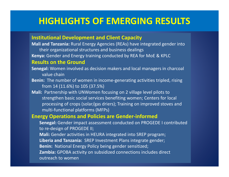## **HIGHLIGHTS OF EMERGING RESULTS**

### **Institutional Development and Client Capacity**

**Mali and Tanzania:** Rural Energy Agencies (REAs) have integrated gender into their organizational structures and business dealings

**Kenya:** Gender and Energy training conducted by REA for MoE & KPLC

### **Results on the Ground**

- **Senegal:** Women involved as decision makers and local managers in charcoal value chain
- **Benin:** The number of women in income‐generating activities tripled, rising from 14 (11.6%) to 105 (37.5%)
- **Mali:** Partnership with UNWomen focusing on 2 village level pilots to strengthen basic social services benefiting women; Centers for local processing of crops (solar/gas driers); Training on improved stoves and multi‐functional platforms (MFPs)

### **Energy Operations and Policies are Gender‐informed**

**Senegal:** Gender impact assessment conducted on PROGEDE I contributed to re‐design of PROGEDE II;

**Mali:** Gender activities in HEURA integrated into SREP program;

**Liberia and Tanzania:** SREP Investment Plans integrate gender;

**Benin:** National Energy Policy being gender sensitized;

**Zambia:** GPOBA activity on subsidized connections includes direct

outreach to women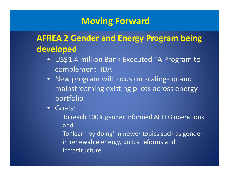## **Moving Forward**

## **AFREA 2 Gender and Energy Program being developed**

- US\$1.4 million Bank Executed TA Program to complement IDA
- New program will focus on scaling‐up and mainstreaming existing pilots across energy portfolio
- Goals:
	- To reach 100% gender informed AFTEG operations and
	- To 'learn by doing' in newer topics such as gender in renewable energy, policy reforms and infrastructure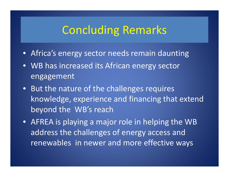## Concluding Remarks

- Africa's energy sector needs remain daunting
- WB has increased its African energy sector engagement
- But the nature of the challenges requires knowledge, experience and financing that extend beyond the WB's reach
- AFREA is playing <sup>a</sup> major role in helping the WB address the challenges of energy access and renewables in newer and more effective ways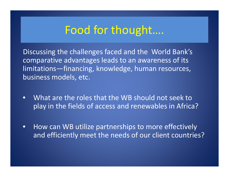## Food for thought….

Discussing the challenges faced and the World Bank's comparative advantages leads to an awareness of its limitations—financing, knowledge, human resources, business models, etc.

- $\bullet$  What are the roles that the WB should not seek to play in the fields of access and renewables in Africa?
- $\bullet$ • How can WB utilize partnerships to more effectively and efficiently meet the needs of our client countries?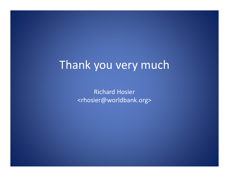## Thank you very much

Richard Hosier <rhosier@worldbank.org>